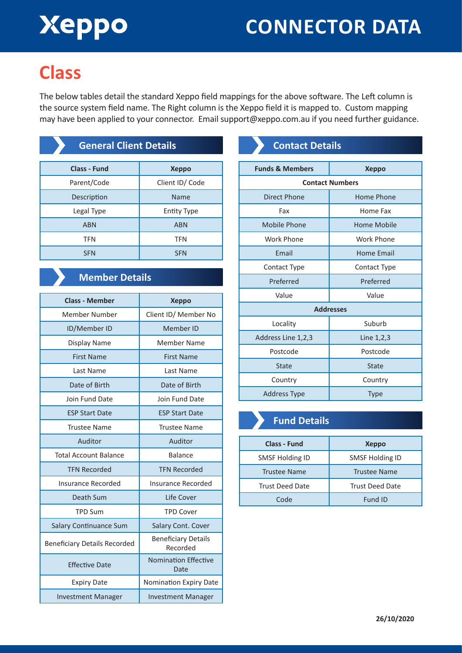# Xeppo

### **CONNECTOR DATA**

### **Class**

The below tables detail the standard Xeppo field mappings for the above software. The Left column is the source system field name. The Right column is the Xeppo field it is mapped to. Custom mapping may have been applied to your connector. Email support@xeppo.com.au if you need further guidance.

| <b>General Client Details</b> |                    |
|-------------------------------|--------------------|
| <b>Class - Fund</b>           | <b>Xeppo</b>       |
| Parent/Code                   | Client ID/Code     |
| Description                   | Name               |
| Legal Type                    | <b>Entity Type</b> |
| <b>ABN</b>                    | <b>ABN</b>         |
| <b>TFN</b>                    | <b>TFN</b>         |
| <b>SFN</b>                    | <b>SFN</b>         |

### **Member Details**

| <b>Class - Member</b>               | <b>Xeppo</b>                           |
|-------------------------------------|----------------------------------------|
| Member Number                       | Client ID/ Member No                   |
| ID/Member ID                        | Member ID                              |
| Display Name                        | Member Name                            |
| <b>First Name</b>                   | <b>First Name</b>                      |
| Last Name                           | Last Name                              |
| Date of Birth                       | Date of Birth                          |
| Join Fund Date                      | Join Fund Date                         |
| <b>ESP Start Date</b>               | <b>ESP Start Date</b>                  |
| <b>Trustee Name</b>                 | <b>Trustee Name</b>                    |
| Auditor                             | Auditor                                |
| <b>Total Account Balance</b>        | Balance                                |
| <b>TFN Recorded</b>                 | <b>TFN Recorded</b>                    |
| Insurance Recorded                  | Insurance Recorded                     |
| Death Sum                           | Life Cover                             |
| <b>TPD Sum</b>                      | <b>TPD Cover</b>                       |
| <b>Salary Continuance Sum</b>       | Salary Cont. Cover                     |
| <b>Beneficiary Details Recorded</b> | <b>Beneficiary Details</b><br>Recorded |
| <b>Effective Date</b>               | <b>Nomination Effective</b><br>Date    |
| <b>Expiry Date</b>                  | Nomination Expiry Date                 |
| <b>Investment Manager</b>           | <b>Investment Manager</b>              |

### **Contact Details**

| <b>Funds &amp; Members</b> | <b>Xeppo</b> |  |
|----------------------------|--------------|--|
| <b>Contact Numbers</b>     |              |  |
| <b>Direct Phone</b>        | Home Phone   |  |
| Fax                        | Home Fax     |  |
| Mobile Phone               | Home Mobile  |  |
| Work Phone                 | Work Phone   |  |
| Email                      | Home Email   |  |
| Contact Type               | Contact Type |  |
| Preferred                  | Preferred    |  |
| Value                      | Value        |  |
| <b>Addresses</b>           |              |  |
| Locality                   | Suburb       |  |
| Address Line 1,2,3         | Line $1,2,3$ |  |
| Postcode                   | Postcode     |  |
| <b>State</b>               | <b>State</b> |  |
| Country                    | Country      |  |
| Address Type               | <b>Type</b>  |  |

### **Fund Details**

| <b>Class - Fund</b>    | <b>Xeppo</b>           |
|------------------------|------------------------|
| <b>SMSF Holding ID</b> | <b>SMSF Holding ID</b> |
| <b>Trustee Name</b>    | <b>Trustee Name</b>    |
| <b>Trust Deed Date</b> | <b>Trust Deed Date</b> |
| Code                   | Fund ID                |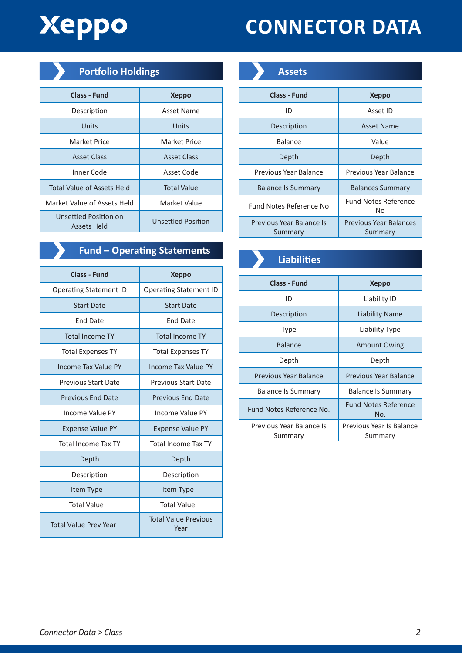## Xeppo

## **CONNECTOR DATA**

| <b>Portfolio Holdings</b> |
|---------------------------|
|---------------------------|

| <b>Class - Fund</b>                  | <b>Xeppo</b>       |
|--------------------------------------|--------------------|
| Description                          | Asset Name         |
| Units                                | Units              |
| Market Price                         | Market Price       |
| <b>Asset Class</b>                   | <b>Asset Class</b> |
| Inner Code                           | Asset Code         |
| <b>Total Value of Assets Held</b>    | <b>Total Value</b> |
| Market Value of Assets Held          | Market Value       |
| Unsettled Position on<br>Assets Held | Unsettled Position |

### **Fund – Operating Statements**<br> **Liabilities**

| <b>Class - Fund</b>           | <b>Xeppo</b>                        |
|-------------------------------|-------------------------------------|
| <b>Operating Statement ID</b> | <b>Operating Statement ID</b>       |
| <b>Start Date</b>             | <b>Start Date</b>                   |
| End Date                      | End Date                            |
| <b>Total Income TY</b>        | <b>Total Income TY</b>              |
| <b>Total Expenses TY</b>      | <b>Total Expenses TY</b>            |
| Income Tax Value PY           | Income Tax Value PY                 |
| <b>Previous Start Date</b>    | <b>Previous Start Date</b>          |
| <b>Previous End Date</b>      | <b>Previous End Date</b>            |
| Income Value PY               | Income Value PY                     |
| <b>Expense Value PY</b>       | <b>Expense Value PY</b>             |
| <b>Total Income Tax TY</b>    | <b>Total Income Tax TY</b>          |
| Depth                         | Depth                               |
| Description                   | Description                         |
| Item Type                     | Item Type                           |
| <b>Total Value</b>            | <b>Total Value</b>                  |
| <b>Total Value Prey Year</b>  | <b>Total Value Previous</b><br>Year |



| Class - Fund                        | <b>Xeppo</b>                      |
|-------------------------------------|-----------------------------------|
| ID                                  | Asset ID                          |
| Description                         | <b>Asset Name</b>                 |
| Balance                             | Value                             |
| Depth                               | Depth                             |
| Previous Year Balance               | Previous Year Balance             |
| <b>Balance Is Summary</b>           | <b>Balances Summary</b>           |
| Fund Notes Reference No             | <b>Fund Notes Reference</b><br>No |
| Previous Year Balance Is<br>Summary | Previous Year Balances<br>Summary |



| Class - Fund                        | <b>Xeppo</b>                        |
|-------------------------------------|-------------------------------------|
| ID                                  | Liability ID                        |
| Description                         | Liability Name                      |
| Type                                | Liability Type                      |
| <b>Balance</b>                      | <b>Amount Owing</b>                 |
| Depth                               | Depth                               |
| Previous Year Balance               | Previous Year Balance               |
| <b>Balance Is Summary</b>           | <b>Balance Is Summary</b>           |
| Fund Notes Reference No.            | <b>Fund Notes Reference</b><br>No.  |
| Previous Year Balance Is<br>Summary | Previous Year Is Balance<br>Summary |